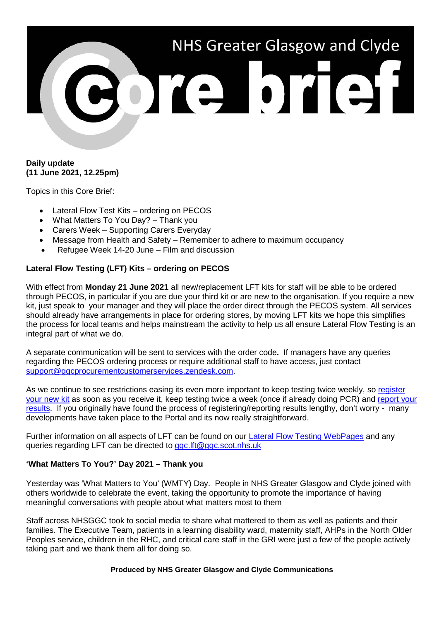

## **Daily update (11 June 2021, 12.25pm)**

Topics in this Core Brief:

- Lateral Flow Test Kits ordering on PECOS
- What Matters To You Day? Thank you
- Carers Week Supporting Carers Everyday
- Message from Health and Safety Remember to adhere to maximum occupancy
- Refugee Week 14-20 June Film and discussion

# **Lateral Flow Testing (LFT) Kits – ordering on PECOS**

With effect from **Monday 21 June 2021** all new/replacement LFT kits for staff will be able to be ordered through PECOS, in particular if you are due your third kit or are new to the organisation. If you require a new kit, just speak to your manager and they will place the order direct through the PECOS system. All services should already have arrangements in place for ordering stores, by moving LFT kits we hope this simplifies the process for local teams and helps mainstream the activity to help us all ensure Lateral Flow Testing is an integral part of what we do.

A separate communication will be sent to services with the order code**.** If managers have any queries regarding the PECOS ordering process or require additional staff to have access, just contact [support@ggcprocurementcustomerservices.zendesk.com.](mailto:support@ggcprocurementcustomerservices.zendesk.com)

As we continue to see restrictions easing its even more important to keep testing twice weekly, so register [your new kit](https://forms.office.com/Pages/ResponsePage.aspx?id=veDvEDCgykuAnLXmdF5JmgW9YoY5w-BDlHK7ghonYUBUREg4R0RKV1pRMElOU0VJWVBaMlVIM1c3RiQlQCN0PWcu) as soon as you receive it, keep testing twice a week (once if already doing PCR) and [report your](http://www.covidtestingportal.scot/)  [results.](http://www.covidtestingportal.scot/) If you originally have found the process of registering/reporting results lengthy, don't worry - many developments have taken place to the Portal and its now really straightforward.

Further information on all aspects of LFT can be found on our [Lateral Flow Testing WebPages](https://www.nhsggc.org.uk/your-health/health-issues/covid-19-coronavirus/for-nhsggc-staff/lateral-flow-device-testing-guidance/) and any queries regarding LFT can be directed to [ggc.lft@ggc.scot.nhs.uk](mailto:ggc.lft@ggc.scot.nhs.uk)

# **'What Matters To You?' Day 2021 – Thank you**

Yesterday was 'What Matters to You' (WMTY) Day. People in NHS Greater Glasgow and Clyde joined with others worldwide to celebrate the event, taking the opportunity to promote the importance of having meaningful conversations with people about what matters most to them

Staff across NHSGGC took to social media to share what mattered to them as well as patients and their families. The Executive Team, patients in a learning disability ward, maternity staff, AHPs in the North Older Peoples service, children in the RHC, and critical care staff in the GRI were just a few of the people actively taking part and we thank them all for doing so.

#### **Produced by NHS Greater Glasgow and Clyde Communications**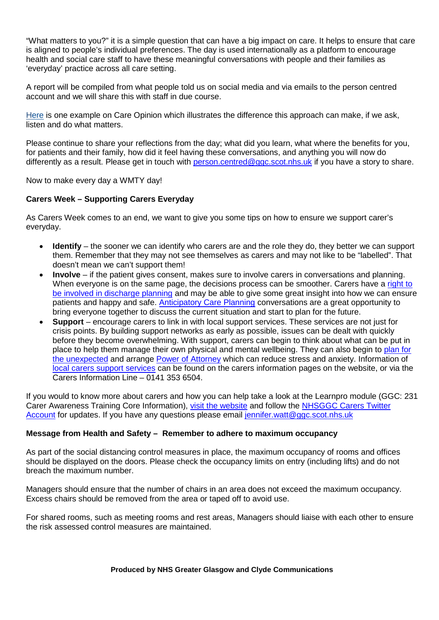"What matters to you?" it is a simple question that can have a big impact on care. It helps to ensure that care is aligned to people's individual preferences. The day is used internationally as a platform to encourage health and social care staff to have these meaningful conversations with people and their families as 'everyday' practice across all care setting.

A report will be compiled from what people told us on social media and via emails to the person centred account and we will share this with staff in due course.

[Here](https://www.careopinion.org.uk/850607) is one example on Care Opinion which illustrates the difference this approach can make, if we ask, listen and do what matters.

Please continue to share your reflections from the day; what did you learn, what where the benefits for you, for patients and their family, how did it feel having these conversations, and anything you will now do differently as a result. Please get in touch with [person.centred@ggc.scot.nhs.uk](mailto:person.centred@ggc.scot.nhs.uk) if you have a story to share.

Now to make every day a WMTY day!

## **Carers Week – Supporting Carers Everyday**

As Carers Week comes to an end, we want to give you some tips on how to ensure we support carer's everyday.

- **Identify** the sooner we can identify who carers are and the role they do, they better we can support them. Remember that they may not see themselves as carers and may not like to be "labelled". That doesn't mean we can't support them!
- **Involve** if the patient gives consent, makes sure to involve carers in conversations and planning. When everyone is on the same page, the decisions process can be smoother. Carers have a right to [be involved in discharge planning](https://www.nhsggc.org.uk/your-health/health-services/carers/resources-for-nhsggc-staff/what-is-the-carers-scotland-act-2016/) and may be able to give some great insight into how we can ensure patients and happy and safe. [Anticipatory Care Planning](https://www.nhsggc.org.uk/your-health/health-services/planning-care/planning-your-care/tools-to-help-you-plan/anticipatory-care-plans/) conversations are a great opportunity to bring everyone together to discuss the current situation and start to plan for the future.
- **Support** encourage carers to link in with local support services. These services are not just for crisis points. By building support networks as early as possible, issues can be dealt with quickly before they become overwhelming. With support, carers can begin to think about what can be put in place to help them manage their own physical and mental wellbeing. They can also begin to [plan for](https://www.nhsggc.org.uk/your-health/health-services/planning-care/planning-your-care/tools-to-help-you-plan/planning-for-unexpected-events/)  [the unexpected](https://www.nhsggc.org.uk/your-health/health-services/planning-care/planning-your-care/tools-to-help-you-plan/planning-for-unexpected-events/) and arrange [Power of Attorney](https://www.nhsggc.org.uk/your-health/health-services/planning-care/planning-your-care/tools-to-help-you-plan/power-of-attorney/) which can reduce stress and anxiety. Information of [local carers support services](https://www.nhsggc.org.uk/your-health/health-services/carers/contact-us/local-services/) can be found on the carers information pages on the website, or via the Carers Information Line – 0141 353 6504.

If you would to know more about carers and how you can help take a look at the Learnpro module (GGC: 231 Carer Awareness Training Core Information), [visit the website](https://www.nhsggc.org.uk/your-health/health-services/carers/) and follow the NHSGGC Carers Twitter [Account](https://twitter.com/nhsggccarers) for updates. If you have any questions please email [jennifer.watt@ggc.scot.nhs.uk](mailto:jennifer.watt@ggc.scot.nhs.uk)

### **Message from Health and Safety – Remember to adhere to maximum occupancy**

As part of the social distancing control measures in place, the maximum occupancy of rooms and offices should be displayed on the doors. Please check the occupancy limits on entry (including lifts) and do not breach the maximum number.

Managers should ensure that the number of chairs in an area does not exceed the maximum occupancy. Excess chairs should be removed from the area or taped off to avoid use.

For shared rooms, such as meeting rooms and rest areas, Managers should liaise with each other to ensure the risk assessed control measures are maintained.